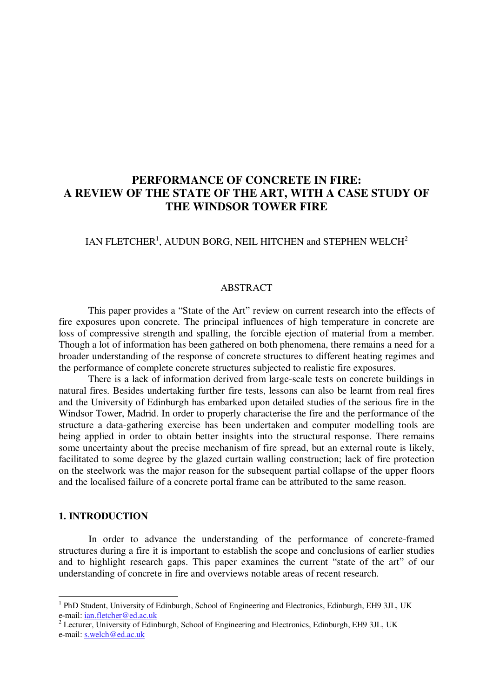# **PERFORMANCE OF CONCRETE IN FIRE: A REVIEW OF THE STATE OF THE ART, WITH A CASE STUDY OF THE WINDSOR TOWER FIRE**

IAN FLETCHER $^{\rm l}$ , AUDUN BORG, NEIL HITCHEN and STEPHEN WELCH $^{\rm 2}$ 

# ABSTRACT

This paper provides a "State of the Art" review on current research into the effects of fire exposures upon concrete. The principal influences of high temperature in concrete are loss of compressive strength and spalling, the forcible ejection of material from a member. Though a lot of information has been gathered on both phenomena, there remains a need for a broader understanding of the response of concrete structures to different heating regimes and the performance of complete concrete structures subjected to realistic fire exposures.

There is a lack of information derived from large-scale tests on concrete buildings in natural fires. Besides undertaking further fire tests, lessons can also be learnt from real fires and the University of Edinburgh has embarked upon detailed studies of the serious fire in the Windsor Tower, Madrid. In order to properly characterise the fire and the performance of the structure a data-gathering exercise has been undertaken and computer modelling tools are being applied in order to obtain better insights into the structural response. There remains some uncertainty about the precise mechanism of fire spread, but an external route is likely, facilitated to some degree by the glazed curtain walling construction; lack of fire protection on the steelwork was the major reason for the subsequent partial collapse of the upper floors and the localised failure of a concrete portal frame can be attributed to the same reason.

# **1. INTRODUCTION**

In order to advance the understanding of the performance of concrete-framed structures during a fire it is important to establish the scope and conclusions of earlier studies and to highlight research gaps. This paper examines the current "state of the art" of our understanding of concrete in fire and overviews notable areas of recent research.

<sup>&</sup>lt;sup>1</sup> PhD Student, University of Edinburgh, School of Engineering and Electronics, Edinburgh, EH9 3JL, UK e-mail: ian.fletcher@ed.ac.uk

<sup>&</sup>lt;sup>2</sup> Lecturer, University of Edinburgh, School of Engineering and Electronics, Edinburgh, EH9 3JL, UK e-mail: s.welch@ed.ac.uk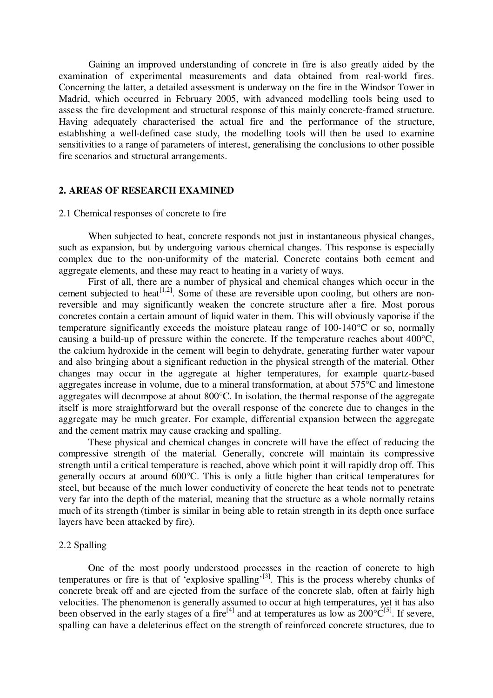Gaining an improved understanding of concrete in fire is also greatly aided by the examination of experimental measurements and data obtained from real-world fires. Concerning the latter, a detailed assessment is underway on the fire in the Windsor Tower in Madrid, which occurred in February 2005, with advanced modelling tools being used to assess the fire development and structural response of this mainly concrete-framed structure. Having adequately characterised the actual fire and the performance of the structure, establishing a well-defined case study, the modelling tools will then be used to examine sensitivities to a range of parameters of interest, generalising the conclusions to other possible fire scenarios and structural arrangements.

## **2. AREAS OF RESEARCH EXAMINED**

# 2.1 Chemical responses of concrete to fire

When subjected to heat, concrete responds not just in instantaneous physical changes, such as expansion, but by undergoing various chemical changes. This response is especially complex due to the non-uniformity of the material. Concrete contains both cement and aggregate elements, and these may react to heating in a variety of ways.

First of all, there are a number of physical and chemical changes which occur in the cement subjected to heat<sup>[1,2]</sup>. Some of these are reversible upon cooling, but others are nonreversible and may significantly weaken the concrete structure after a fire. Most porous concretes contain a certain amount of liquid water in them. This will obviously vaporise if the temperature significantly exceeds the moisture plateau range of 100-140°C or so, normally causing a build-up of pressure within the concrete. If the temperature reaches about 400°C, the calcium hydroxide in the cement will begin to dehydrate, generating further water vapour and also bringing about a significant reduction in the physical strength of the material. Other changes may occur in the aggregate at higher temperatures, for example quartz-based aggregates increase in volume, due to a mineral transformation, at about 575°C and limestone aggregates will decompose at about 800°C. In isolation, the thermal response of the aggregate itself is more straightforward but the overall response of the concrete due to changes in the aggregate may be much greater. For example, differential expansion between the aggregate and the cement matrix may cause cracking and spalling.

These physical and chemical changes in concrete will have the effect of reducing the compressive strength of the material. Generally, concrete will maintain its compressive strength until a critical temperature is reached, above which point it will rapidly drop off. This generally occurs at around 600°C. This is only a little higher than critical temperatures for steel, but because of the much lower conductivity of concrete the heat tends not to penetrate very far into the depth of the material, meaning that the structure as a whole normally retains much of its strength (timber is similar in being able to retain strength in its depth once surface layers have been attacked by fire).

#### 2.2 Spalling

One of the most poorly understood processes in the reaction of concrete to high temperatures or fire is that of 'explosive spalling'<sup>[3]</sup>. This is the process whereby chunks of concrete break off and are ejected from the surface of the concrete slab, often at fairly high velocities. The phenomenon is generally assumed to occur at high temperatures, yet it has also been observed in the early stages of a fire<sup>[4]</sup> and at temperatures as low as  $200^{\circ}C^{[5]}$ . If severe, spalling can have a deleterious effect on the strength of reinforced concrete structures, due to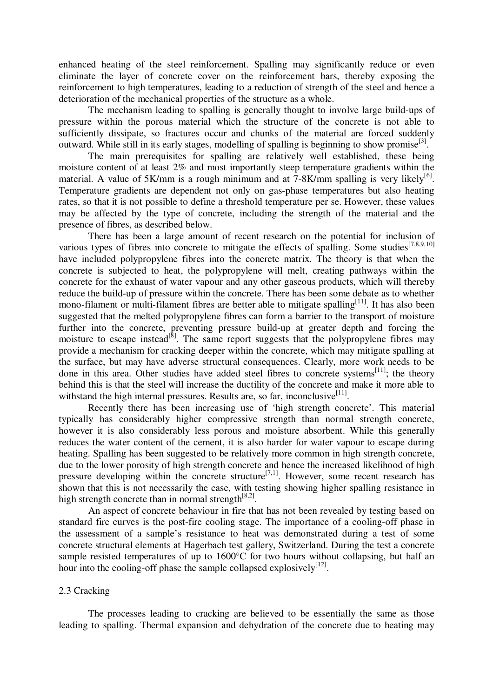enhanced heating of the steel reinforcement. Spalling may significantly reduce or even eliminate the layer of concrete cover on the reinforcement bars, thereby exposing the reinforcement to high temperatures, leading to a reduction of strength of the steel and hence a deterioration of the mechanical properties of the structure as a whole.

The mechanism leading to spalling is generally thought to involve large build-ups of pressure within the porous material which the structure of the concrete is not able to sufficiently dissipate, so fractures occur and chunks of the material are forced suddenly outward. While still in its early stages, modelling of spalling is beginning to show promise<sup>[3]</sup>.

The main prerequisites for spalling are relatively well established, these being moisture content of at least 2% and most importantly steep temperature gradients within the material. A value of 5K/mm is a rough minimum and at 7-8K/mm spalling is very likely<sup>[6]</sup>. Temperature gradients are dependent not only on gas-phase temperatures but also heating rates, so that it is not possible to define a threshold temperature per se. However, these values may be affected by the type of concrete, including the strength of the material and the presence of fibres, as described below.

There has been a large amount of recent research on the potential for inclusion of various types of fibres into concrete to mitigate the effects of spalling. Some studies  $[7,8,9,10]$ have included polypropylene fibres into the concrete matrix. The theory is that when the concrete is subjected to heat, the polypropylene will melt, creating pathways within the concrete for the exhaust of water vapour and any other gaseous products, which will thereby reduce the build-up of pressure within the concrete. There has been some debate as to whether mono-filament or multi-filament fibres are better able to mitigate spalling<sup>[11]</sup>. It has also been suggested that the melted polypropylene fibres can form a barrier to the transport of moisture further into the concrete, preventing pressure build-up at greater depth and forcing the moisture to escape instead<sup>[8]</sup>. The same report suggests that the polypropylene fibres may provide a mechanism for cracking deeper within the concrete, which may mitigate spalling at the surface, but may have adverse structural consequences. Clearly, more work needs to be done in this area. Other studies have added steel fibres to concrete systems<sup>[11]</sup>; the theory behind this is that the steel will increase the ductility of the concrete and make it more able to withstand the high internal pressures. Results are, so far, inconclusive<sup>[11]</sup>.

Recently there has been increasing use of 'high strength concrete'. This material typically has considerably higher compressive strength than normal strength concrete, however it is also considerably less porous and moisture absorbent. While this generally reduces the water content of the cement, it is also harder for water vapour to escape during heating. Spalling has been suggested to be relatively more common in high strength concrete, due to the lower porosity of high strength concrete and hence the increased likelihood of high pressure developing within the concrete structure<sup>[7,1]</sup>. However, some recent research has shown that this is not necessarily the case, with testing showing higher spalling resistance in high strength concrete than in normal strength  $[8,2]$ .

An aspect of concrete behaviour in fire that has not been revealed by testing based on standard fire curves is the post-fire cooling stage. The importance of a cooling-off phase in the assessment of a sample's resistance to heat was demonstrated during a test of some concrete structural elements at Hagerbach test gallery, Switzerland. During the test a concrete sample resisted temperatures of up to  $1600^{\circ}$ C for two hours without collapsing, but half an hour into the cooling-off phase the sample collapsed explosively<sup>[12]</sup>.

# 2.3 Cracking

The processes leading to cracking are believed to be essentially the same as those leading to spalling. Thermal expansion and dehydration of the concrete due to heating may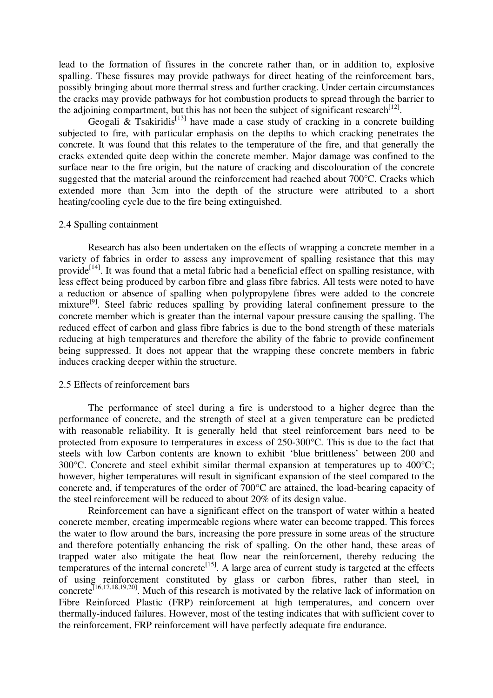lead to the formation of fissures in the concrete rather than, or in addition to, explosive spalling. These fissures may provide pathways for direct heating of the reinforcement bars, possibly bringing about more thermal stress and further cracking. Under certain circumstances the cracks may provide pathways for hot combustion products to spread through the barrier to the adjoining compartment, but this has not been the subject of significant research<sup>[12]</sup>.

Geogali & Tsakiridis<sup>[13]</sup> have made a case study of cracking in a concrete building subjected to fire, with particular emphasis on the depths to which cracking penetrates the concrete. It was found that this relates to the temperature of the fire, and that generally the cracks extended quite deep within the concrete member. Major damage was confined to the surface near to the fire origin, but the nature of cracking and discolouration of the concrete suggested that the material around the reinforcement had reached about 700°C. Cracks which extended more than 3cm into the depth of the structure were attributed to a short heating/cooling cycle due to the fire being extinguished.

## 2.4 Spalling containment

Research has also been undertaken on the effects of wrapping a concrete member in a variety of fabrics in order to assess any improvement of spalling resistance that this may provide<sup>[14]</sup>. It was found that a metal fabric had a beneficial effect on spalling resistance, with less effect being produced by carbon fibre and glass fibre fabrics. All tests were noted to have a reduction or absence of spalling when polypropylene fibres were added to the concrete mixture<sup>[9]</sup>. Steel fabric reduces spalling by providing lateral confinement pressure to the concrete member which is greater than the internal vapour pressure causing the spalling. The reduced effect of carbon and glass fibre fabrics is due to the bond strength of these materials reducing at high temperatures and therefore the ability of the fabric to provide confinement being suppressed. It does not appear that the wrapping these concrete members in fabric induces cracking deeper within the structure.

#### 2.5 Effects of reinforcement bars

The performance of steel during a fire is understood to a higher degree than the performance of concrete, and the strength of steel at a given temperature can be predicted with reasonable reliability. It is generally held that steel reinforcement bars need to be protected from exposure to temperatures in excess of 250-300°C. This is due to the fact that steels with low Carbon contents are known to exhibit 'blue brittleness' between 200 and 300°C. Concrete and steel exhibit similar thermal expansion at temperatures up to 400°C; however, higher temperatures will result in significant expansion of the steel compared to the concrete and, if temperatures of the order of 700°C are attained, the load-bearing capacity of the steel reinforcement will be reduced to about 20% of its design value.

Reinforcement can have a significant effect on the transport of water within a heated concrete member, creating impermeable regions where water can become trapped. This forces the water to flow around the bars, increasing the pore pressure in some areas of the structure and therefore potentially enhancing the risk of spalling. On the other hand, these areas of trapped water also mitigate the heat flow near the reinforcement, thereby reducing the temperatures of the internal concrete<sup>[15]</sup>. A large area of current study is targeted at the effects of using reinforcement constituted by glass or carbon fibres, rather than steel, in concrete<sup>[16,17,18,19,20]</sup>. Much of this research is motivated by the relative lack of information on Fibre Reinforced Plastic (FRP) reinforcement at high temperatures, and concern over thermally-induced failures. However, most of the testing indicates that with sufficient cover to the reinforcement, FRP reinforcement will have perfectly adequate fire endurance.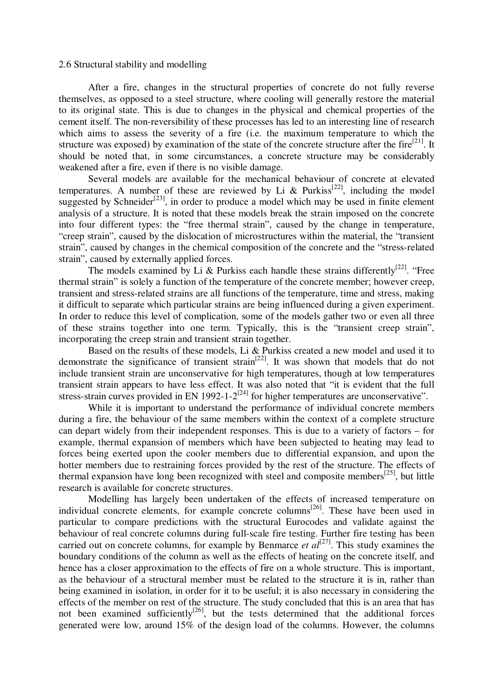## 2.6 Structural stability and modelling

After a fire, changes in the structural properties of concrete do not fully reverse themselves, as opposed to a steel structure, where cooling will generally restore the material to its original state. This is due to changes in the physical and chemical properties of the cement itself. The non-reversibility of these processes has led to an interesting line of research which aims to assess the severity of a fire (i.e. the maximum temperature to which the structure was exposed) by examination of the state of the concrete structure after the fire<sup>[21]</sup>. It should be noted that, in some circumstances, a concrete structure may be considerably weakened after a fire, even if there is no visible damage.

Several models are available for the mechanical behaviour of concrete at elevated temperatures. A number of these are reviewed by Li & Purkiss<sup>[22]</sup>, including the model suggested by Schneider<sup>[23]</sup>, in order to produce a model which may be used in finite element analysis of a structure. It is noted that these models break the strain imposed on the concrete into four different types: the "free thermal strain", caused by the change in temperature, "creep strain", caused by the dislocation of microstructures within the material, the "transient strain", caused by changes in the chemical composition of the concrete and the "stress-related strain", caused by externally applied forces.

The models examined by Li & Purkiss each handle these strains differently<sup>[22]</sup>. "Free thermal strain" is solely a function of the temperature of the concrete member; however creep, transient and stress-related strains are all functions of the temperature, time and stress, making it difficult to separate which particular strains are being influenced during a given experiment. In order to reduce this level of complication, some of the models gather two or even all three of these strains together into one term. Typically, this is the "transient creep strain", incorporating the creep strain and transient strain together.

Based on the results of these models, Li & Purkiss created a new model and used it to demonstrate the significance of transient strain<sup>[22]</sup>. It was shown that models that do not include transient strain are unconservative for high temperatures, though at low temperatures transient strain appears to have less effect. It was also noted that "it is evident that the full stress-strain curves provided in EN 1992-1- $2^{[24]}$  for higher temperatures are unconservative".

While it is important to understand the performance of individual concrete members during a fire, the behaviour of the same members within the context of a complete structure can depart widely from their independent responses. This is due to a variety of factors – for example, thermal expansion of members which have been subjected to heating may lead to forces being exerted upon the cooler members due to differential expansion, and upon the hotter members due to restraining forces provided by the rest of the structure. The effects of thermal expansion have long been recognized with steel and composite members<sup>[25]</sup>, but little research is available for concrete structures.

Modelling has largely been undertaken of the effects of increased temperature on individual concrete elements, for example concrete columns<sup>[26]</sup>. These have been used in particular to compare predictions with the structural Eurocodes and validate against the behaviour of real concrete columns during full-scale fire testing. Further fire testing has been carried out on concrete columns, for example by Benmarce *et*  $al^{[27]}$ . This study examines the boundary conditions of the column as well as the effects of heating on the concrete itself, and hence has a closer approximation to the effects of fire on a whole structure. This is important, as the behaviour of a structural member must be related to the structure it is in, rather than being examined in isolation, in order for it to be useful; it is also necessary in considering the effects of the member on rest of the structure. The study concluded that this is an area that has not been examined sufficiently<sup>[26]</sup>, but the tests determined that the additional forces generated were low, around 15% of the design load of the columns. However, the columns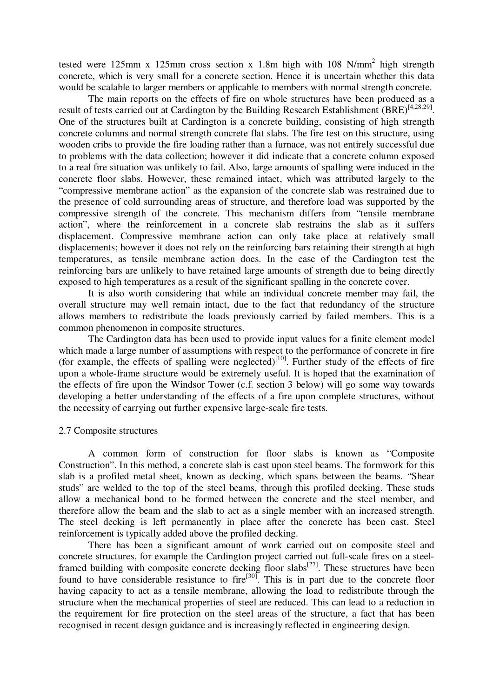tested were 125mm x 125mm cross section x 1.8m high with 108 N/mm<sup>2</sup> high strength concrete, which is very small for a concrete section. Hence it is uncertain whether this data would be scalable to larger members or applicable to members with normal strength concrete.

The main reports on the effects of fire on whole structures have been produced as a result of tests carried out at Cardington by the Building Research Establishment (BRE)<sup>[4,28,29]</sup>. One of the structures built at Cardington is a concrete building, consisting of high strength concrete columns and normal strength concrete flat slabs. The fire test on this structure, using wooden cribs to provide the fire loading rather than a furnace, was not entirely successful due to problems with the data collection; however it did indicate that a concrete column exposed to a real fire situation was unlikely to fail. Also, large amounts of spalling were induced in the concrete floor slabs. However, these remained intact, which was attributed largely to the "compressive membrane action" as the expansion of the concrete slab was restrained due to the presence of cold surrounding areas of structure, and therefore load was supported by the compressive strength of the concrete. This mechanism differs from "tensile membrane action", where the reinforcement in a concrete slab restrains the slab as it suffers displacement. Compressive membrane action can only take place at relatively small displacements; however it does not rely on the reinforcing bars retaining their strength at high temperatures, as tensile membrane action does. In the case of the Cardington test the reinforcing bars are unlikely to have retained large amounts of strength due to being directly exposed to high temperatures as a result of the significant spalling in the concrete cover.

It is also worth considering that while an individual concrete member may fail, the overall structure may well remain intact, due to the fact that redundancy of the structure allows members to redistribute the loads previously carried by failed members. This is a common phenomenon in composite structures.

The Cardington data has been used to provide input values for a finite element model which made a large number of assumptions with respect to the performance of concrete in fire (for example, the effects of spalling were neglected) $[10]$ . Further study of the effects of fire upon a whole-frame structure would be extremely useful. It is hoped that the examination of the effects of fire upon the Windsor Tower (c.f. section 3 below) will go some way towards developing a better understanding of the effects of a fire upon complete structures, without the necessity of carrying out further expensive large-scale fire tests.

## 2.7 Composite structures

A common form of construction for floor slabs is known as "Composite Construction". In this method, a concrete slab is cast upon steel beams. The formwork for this slab is a profiled metal sheet, known as decking, which spans between the beams. "Shear studs" are welded to the top of the steel beams, through this profiled decking. These studs allow a mechanical bond to be formed between the concrete and the steel member, and therefore allow the beam and the slab to act as a single member with an increased strength. The steel decking is left permanently in place after the concrete has been cast. Steel reinforcement is typically added above the profiled decking.

There has been a significant amount of work carried out on composite steel and concrete structures, for example the Cardington project carried out full-scale fires on a steelframed building with composite concrete decking floor slabs<sup>[27]</sup>. These structures have been found to have considerable resistance to fire<sup>[30]</sup>. This is in part due to the concrete floor having capacity to act as a tensile membrane, allowing the load to redistribute through the structure when the mechanical properties of steel are reduced. This can lead to a reduction in the requirement for fire protection on the steel areas of the structure, a fact that has been recognised in recent design guidance and is increasingly reflected in engineering design.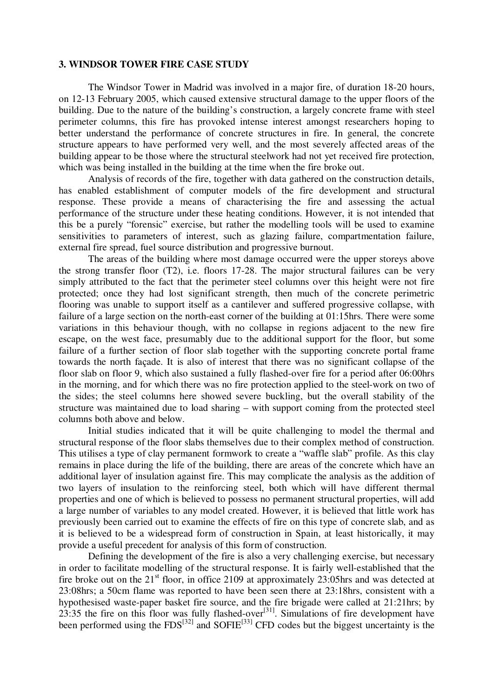## **3. WINDSOR TOWER FIRE CASE STUDY**

The Windsor Tower in Madrid was involved in a major fire, of duration 18-20 hours, on 12-13 February 2005, which caused extensive structural damage to the upper floors of the building. Due to the nature of the building's construction, a largely concrete frame with steel perimeter columns, this fire has provoked intense interest amongst researchers hoping to better understand the performance of concrete structures in fire. In general, the concrete structure appears to have performed very well, and the most severely affected areas of the building appear to be those where the structural steelwork had not yet received fire protection, which was being installed in the building at the time when the fire broke out.

Analysis of records of the fire, together with data gathered on the construction details, has enabled establishment of computer models of the fire development and structural response. These provide a means of characterising the fire and assessing the actual performance of the structure under these heating conditions. However, it is not intended that this be a purely "forensic" exercise, but rather the modelling tools will be used to examine sensitivities to parameters of interest, such as glazing failure, compartmentation failure, external fire spread, fuel source distribution and progressive burnout.

The areas of the building where most damage occurred were the upper storeys above the strong transfer floor (T2), i.e. floors 17-28. The major structural failures can be very simply attributed to the fact that the perimeter steel columns over this height were not fire protected; once they had lost significant strength, then much of the concrete perimetric flooring was unable to support itself as a cantilever and suffered progressive collapse, with failure of a large section on the north-east corner of the building at 01:15hrs. There were some variations in this behaviour though, with no collapse in regions adjacent to the new fire escape, on the west face, presumably due to the additional support for the floor, but some failure of a further section of floor slab together with the supporting concrete portal frame towards the north façade. It is also of interest that there was no significant collapse of the floor slab on floor 9, which also sustained a fully flashed-over fire for a period after 06:00hrs in the morning, and for which there was no fire protection applied to the steel-work on two of the sides; the steel columns here showed severe buckling, but the overall stability of the structure was maintained due to load sharing – with support coming from the protected steel columns both above and below.

Initial studies indicated that it will be quite challenging to model the thermal and structural response of the floor slabs themselves due to their complex method of construction. This utilises a type of clay permanent formwork to create a "waffle slab" profile. As this clay remains in place during the life of the building, there are areas of the concrete which have an additional layer of insulation against fire. This may complicate the analysis as the addition of two layers of insulation to the reinforcing steel, both which will have different thermal properties and one of which is believed to possess no permanent structural properties, will add a large number of variables to any model created. However, it is believed that little work has previously been carried out to examine the effects of fire on this type of concrete slab, and as it is believed to be a widespread form of construction in Spain, at least historically, it may provide a useful precedent for analysis of this form of construction.

Defining the development of the fire is also a very challenging exercise, but necessary in order to facilitate modelling of the structural response. It is fairly well-established that the fire broke out on the  $21<sup>st</sup>$  floor, in office 2109 at approximately 23:05hrs and was detected at 23:08hrs; a 50cm flame was reported to have been seen there at 23:18hrs, consistent with a hypothesised waste-paper basket fire source, and the fire brigade were called at 21:21hrs; by  $23:35$  the fire on this floor was fully flashed-over<sup>[31]</sup>. Simulations of fire development have been performed using the  $FDS^{[32]}$  and SOFIE<sup>[33]</sup> CFD codes but the biggest uncertainty is the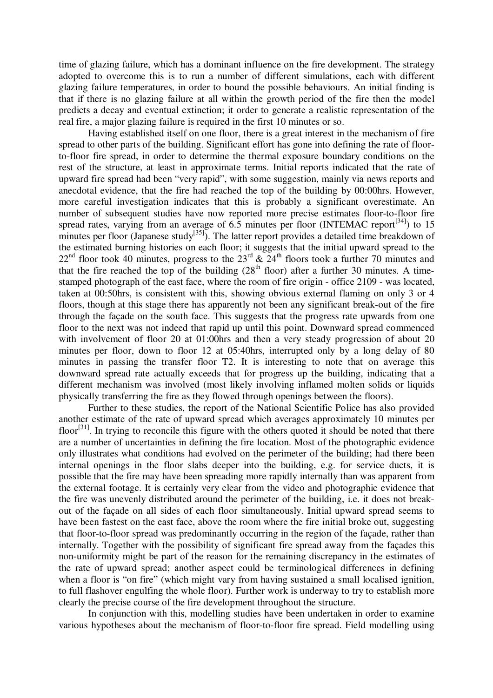time of glazing failure, which has a dominant influence on the fire development. The strategy adopted to overcome this is to run a number of different simulations, each with different glazing failure temperatures, in order to bound the possible behaviours. An initial finding is that if there is no glazing failure at all within the growth period of the fire then the model predicts a decay and eventual extinction; it order to generate a realistic representation of the real fire, a major glazing failure is required in the first 10 minutes or so.

Having established itself on one floor, there is a great interest in the mechanism of fire spread to other parts of the building. Significant effort has gone into defining the rate of floorto-floor fire spread, in order to determine the thermal exposure boundary conditions on the rest of the structure, at least in approximate terms. Initial reports indicated that the rate of upward fire spread had been "very rapid", with some suggestion, mainly via news reports and anecdotal evidence, that the fire had reached the top of the building by 00:00hrs. However, more careful investigation indicates that this is probably a significant overestimate. An number of subsequent studies have now reported more precise estimates floor-to-floor fire spread rates, varying from an average of  $6.5$  minutes per floor (INTEMAC report<sup>[34]</sup>) to 15 minutes per floor (Japanese study $^{[35]}$ ). The latter report provides a detailed time breakdown of the estimated burning histories on each floor; it suggests that the initial upward spread to the  $22^{\text{nd}}$  floor took 40 minutes, progress to the  $23^{\text{rd}}$  &  $24^{\text{th}}$  floors took a further 70 minutes and that the fire reached the top of the building  $(28<sup>th</sup>$  floor) after a further 30 minutes. A timestamped photograph of the east face, where the room of fire origin - office 2109 - was located, taken at 00:50hrs, is consistent with this, showing obvious external flaming on only 3 or 4 floors, though at this stage there has apparently not been any significant break-out of the fire through the façade on the south face. This suggests that the progress rate upwards from one floor to the next was not indeed that rapid up until this point. Downward spread commenced with involvement of floor 20 at 01:00 hrs and then a very steady progression of about 20 minutes per floor, down to floor 12 at 05:40hrs, interrupted only by a long delay of 80 minutes in passing the transfer floor T2. It is interesting to note that on average this downward spread rate actually exceeds that for progress up the building, indicating that a different mechanism was involved (most likely involving inflamed molten solids or liquids physically transferring the fire as they flowed through openings between the floors).

Further to these studies, the report of the National Scientific Police has also provided another estimate of the rate of upward spread which averages approximately 10 minutes per floor<sup>[31]</sup>. In trying to reconcile this figure with the others quoted it should be noted that there are a number of uncertainties in defining the fire location. Most of the photographic evidence only illustrates what conditions had evolved on the perimeter of the building; had there been internal openings in the floor slabs deeper into the building, e.g. for service ducts, it is possible that the fire may have been spreading more rapidly internally than was apparent from the external footage. It is certainly very clear from the video and photographic evidence that the fire was unevenly distributed around the perimeter of the building, i.e. it does not breakout of the façade on all sides of each floor simultaneously. Initial upward spread seems to have been fastest on the east face, above the room where the fire initial broke out, suggesting that floor-to-floor spread was predominantly occurring in the region of the façade, rather than internally. Together with the possibility of significant fire spread away from the façades this non-uniformity might be part of the reason for the remaining discrepancy in the estimates of the rate of upward spread; another aspect could be terminological differences in defining when a floor is "on fire" (which might vary from having sustained a small localised ignition, to full flashover engulfing the whole floor). Further work is underway to try to establish more clearly the precise course of the fire development throughout the structure.

In conjunction with this, modelling studies have been undertaken in order to examine various hypotheses about the mechanism of floor-to-floor fire spread. Field modelling using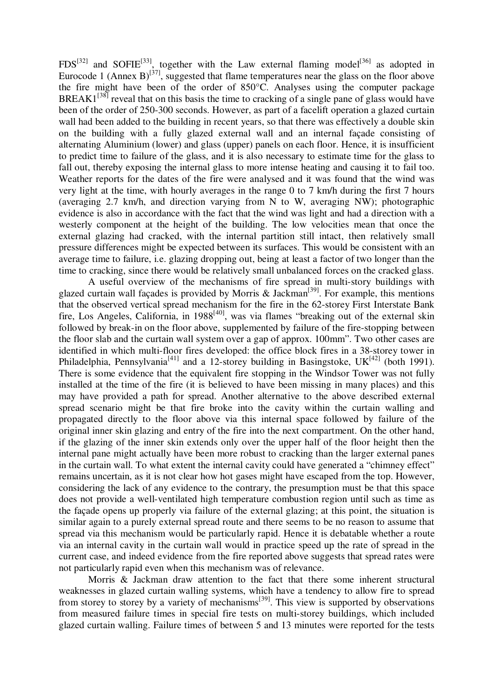$FDS^{[32]}$  and SOFIE<sup>[33]</sup>, together with the Law external flaming model<sup>[36]</sup> as adopted in Eurocode 1 (Annex B)<sup>[37]</sup>, suggested that flame temperatures near the glass on the floor above the fire might have been of the order of 850°C. Analyses using the computer package BREAK $1^{38}$  reveal that on this basis the time to cracking of a single pane of glass would have been of the order of 250-300 seconds. However, as part of a facelift operation a glazed curtain wall had been added to the building in recent years, so that there was effectively a double skin on the building with a fully glazed external wall and an internal façade consisting of alternating Aluminium (lower) and glass (upper) panels on each floor. Hence, it is insufficient to predict time to failure of the glass, and it is also necessary to estimate time for the glass to fall out, thereby exposing the internal glass to more intense heating and causing it to fail too. Weather reports for the dates of the fire were analysed and it was found that the wind was very light at the time, with hourly averages in the range 0 to 7 km/h during the first 7 hours (averaging 2.7 km/h, and direction varying from N to W, averaging NW); photographic evidence is also in accordance with the fact that the wind was light and had a direction with a westerly component at the height of the building. The low velocities mean that once the external glazing had cracked, with the internal partition still intact, then relatively small pressure differences might be expected between its surfaces. This would be consistent with an average time to failure, i.e. glazing dropping out, being at least a factor of two longer than the time to cracking, since there would be relatively small unbalanced forces on the cracked glass.

A useful overview of the mechanisms of fire spread in multi-story buildings with glazed curtain wall façades is provided by Morris & Jackman<sup>[39]</sup>. For example, this mentions that the observed vertical spread mechanism for the fire in the 62-storey First Interstate Bank fire, Los Angeles, California, in 1988<sup>[40]</sup>, was via flames "breaking out of the external skin followed by break-in on the floor above, supplemented by failure of the fire-stopping between the floor slab and the curtain wall system over a gap of approx. 100mm". Two other cases are identified in which multi-floor fires developed: the office block fires in a 38-storey tower in Philadelphia, Pennsylvania<sup>[41]</sup> and a 12-storey building in Basingstoke, UK<sup>[42]</sup> (both 1991). There is some evidence that the equivalent fire stopping in the Windsor Tower was not fully installed at the time of the fire (it is believed to have been missing in many places) and this may have provided a path for spread. Another alternative to the above described external spread scenario might be that fire broke into the cavity within the curtain walling and propagated directly to the floor above via this internal space followed by failure of the original inner skin glazing and entry of the fire into the next compartment. On the other hand, if the glazing of the inner skin extends only over the upper half of the floor height then the internal pane might actually have been more robust to cracking than the larger external panes in the curtain wall. To what extent the internal cavity could have generated a "chimney effect" remains uncertain, as it is not clear how hot gases might have escaped from the top. However, considering the lack of any evidence to the contrary, the presumption must be that this space does not provide a well-ventilated high temperature combustion region until such as time as the façade opens up properly via failure of the external glazing; at this point, the situation is similar again to a purely external spread route and there seems to be no reason to assume that spread via this mechanism would be particularly rapid. Hence it is debatable whether a route via an internal cavity in the curtain wall would in practice speed up the rate of spread in the current case, and indeed evidence from the fire reported above suggests that spread rates were not particularly rapid even when this mechanism was of relevance.

Morris & Jackman draw attention to the fact that there some inherent structural weaknesses in glazed curtain walling systems, which have a tendency to allow fire to spread from storey to storey by a variety of mechanisms<sup>[39]</sup>. This view is supported by observations from measured failure times in special fire tests on multi-storey buildings, which included glazed curtain walling. Failure times of between 5 and 13 minutes were reported for the tests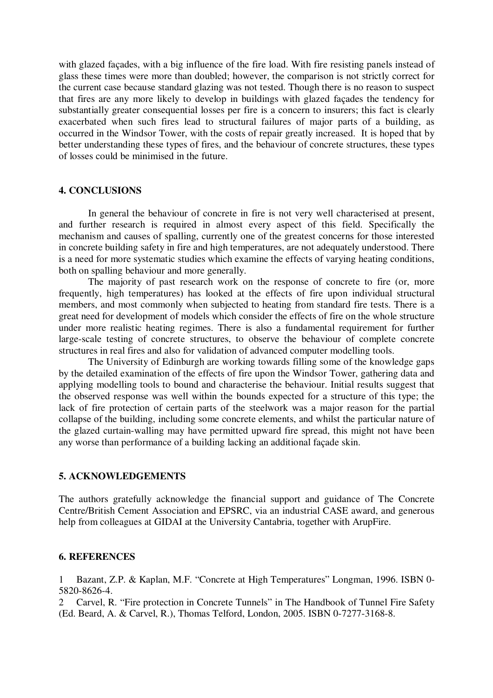with glazed façades, with a big influence of the fire load. With fire resisting panels instead of glass these times were more than doubled; however, the comparison is not strictly correct for the current case because standard glazing was not tested. Though there is no reason to suspect that fires are any more likely to develop in buildings with glazed façades the tendency for substantially greater consequential losses per fire is a concern to insurers; this fact is clearly exacerbated when such fires lead to structural failures of major parts of a building, as occurred in the Windsor Tower, with the costs of repair greatly increased. It is hoped that by better understanding these types of fires, and the behaviour of concrete structures, these types of losses could be minimised in the future.

# **4. CONCLUSIONS**

In general the behaviour of concrete in fire is not very well characterised at present, and further research is required in almost every aspect of this field. Specifically the mechanism and causes of spalling, currently one of the greatest concerns for those interested in concrete building safety in fire and high temperatures, are not adequately understood. There is a need for more systematic studies which examine the effects of varying heating conditions, both on spalling behaviour and more generally.

The majority of past research work on the response of concrete to fire (or, more frequently, high temperatures) has looked at the effects of fire upon individual structural members, and most commonly when subjected to heating from standard fire tests. There is a great need for development of models which consider the effects of fire on the whole structure under more realistic heating regimes. There is also a fundamental requirement for further large-scale testing of concrete structures, to observe the behaviour of complete concrete structures in real fires and also for validation of advanced computer modelling tools.

The University of Edinburgh are working towards filling some of the knowledge gaps by the detailed examination of the effects of fire upon the Windsor Tower, gathering data and applying modelling tools to bound and characterise the behaviour. Initial results suggest that the observed response was well within the bounds expected for a structure of this type; the lack of fire protection of certain parts of the steelwork was a major reason for the partial collapse of the building, including some concrete elements, and whilst the particular nature of the glazed curtain-walling may have permitted upward fire spread, this might not have been any worse than performance of a building lacking an additional façade skin.

# **5. ACKNOWLEDGEMENTS**

The authors gratefully acknowledge the financial support and guidance of The Concrete Centre/British Cement Association and EPSRC, via an industrial CASE award, and generous help from colleagues at GIDAI at the University Cantabria, together with ArupFire.

## **6. REFERENCES**

1 Bazant, Z.P. & Kaplan, M.F. "Concrete at High Temperatures" Longman, 1996. ISBN 0- 5820-8626-4.

2 Carvel, R. "Fire protection in Concrete Tunnels" in The Handbook of Tunnel Fire Safety (Ed. Beard, A. & Carvel, R.), Thomas Telford, London, 2005. ISBN 0-7277-3168-8.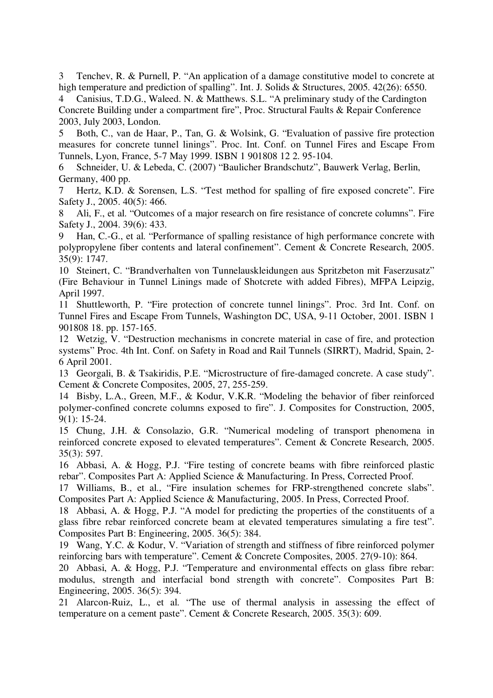3 Tenchev, R. & Purnell, P. "An application of a damage constitutive model to concrete at high temperature and prediction of spalling". Int. J. Solids & Structures, 2005. 42(26): 6550.

4 Canisius, T.D.G., Waleed. N. & Matthews. S.L. "A preliminary study of the Cardington Concrete Building under a compartment fire", Proc. Structural Faults & Repair Conference 2003, July 2003, London.

5 Both, C., van de Haar, P., Tan, G. & Wolsink, G. "Evaluation of passive fire protection measures for concrete tunnel linings". Proc. Int. Conf. on Tunnel Fires and Escape From Tunnels, Lyon, France, 5-7 May 1999. ISBN 1 901808 12 2. 95-104.

6 Schneider, U. & Lebeda, C. (2007) "Baulicher Brandschutz", Bauwerk Verlag, Berlin, Germany, 400 pp.

Hertz, K.D. & Sorensen, L.S. "Test method for spalling of fire exposed concrete". Fire Safety J., 2005. 40(5): 466.

8 Ali, F., et al. "Outcomes of a major research on fire resistance of concrete columns". Fire Safety J., 2004. 39(6): 433.

Han, C.-G., et al. "Performance of spalling resistance of high performance concrete with polypropylene fiber contents and lateral confinement". Cement & Concrete Research, 2005. 35(9): 1747.

10 Steinert, C. "Brandverhalten von Tunnelauskleidungen aus Spritzbeton mit Faserzusatz" (Fire Behaviour in Tunnel Linings made of Shotcrete with added Fibres), MFPA Leipzig, April 1997.

11 Shuttleworth, P. "Fire protection of concrete tunnel linings". Proc. 3rd Int. Conf. on Tunnel Fires and Escape From Tunnels, Washington DC, USA, 9-11 October, 2001. ISBN 1 901808 18. pp. 157-165.

12 Wetzig, V. "Destruction mechanisms in concrete material in case of fire, and protection systems" Proc. 4th Int. Conf. on Safety in Road and Rail Tunnels (SIRRT), Madrid, Spain, 2- 6 April 2001.

13 Georgali, B. & Tsakiridis, P.E. "Microstructure of fire-damaged concrete. A case study". Cement & Concrete Composites, 2005, 27, 255-259.

14 Bisby, L.A., Green, M.F., & Kodur, V.K.R. "Modeling the behavior of fiber reinforced polymer-confined concrete columns exposed to fire". J. Composites for Construction, 2005, 9(1): 15-24.

15 Chung, J.H. & Consolazio, G.R. "Numerical modeling of transport phenomena in reinforced concrete exposed to elevated temperatures". Cement & Concrete Research, 2005. 35(3): 597.

16 Abbasi, A. & Hogg, P.J. "Fire testing of concrete beams with fibre reinforced plastic rebar". Composites Part A: Applied Science & Manufacturing. In Press, Corrected Proof.

17 Williams, B., et al., "Fire insulation schemes for FRP-strengthened concrete slabs". Composites Part A: Applied Science & Manufacturing, 2005. In Press, Corrected Proof.

18 Abbasi, A. & Hogg, P.J. "A model for predicting the properties of the constituents of a glass fibre rebar reinforced concrete beam at elevated temperatures simulating a fire test". Composites Part B: Engineering, 2005. 36(5): 384.

19 Wang, Y.C. & Kodur, V. "Variation of strength and stiffness of fibre reinforced polymer reinforcing bars with temperature". Cement & Concrete Composites, 2005. 27(9-10): 864.

20 Abbasi, A. & Hogg, P.J. "Temperature and environmental effects on glass fibre rebar: modulus, strength and interfacial bond strength with concrete". Composites Part B: Engineering, 2005. 36(5): 394.

21 Alarcon-Ruiz, L., et al. "The use of thermal analysis in assessing the effect of temperature on a cement paste". Cement & Concrete Research, 2005. 35(3): 609.